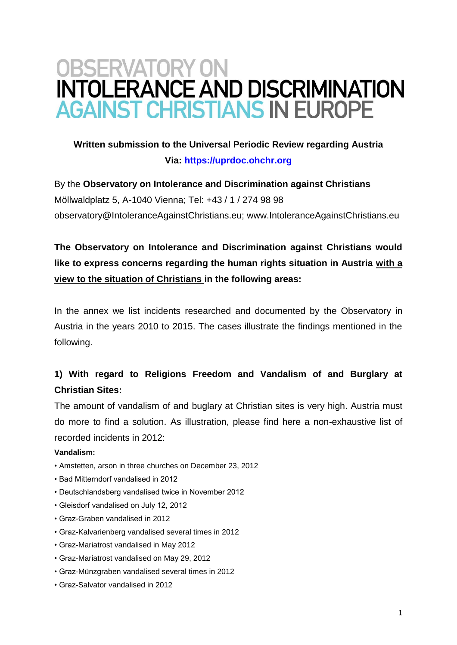# OBSERVATORY ON<br>INTOLERANCE AND DISCRIMINATION **AGAINST CHRISTIANS IN EUROPE**

# **Written submission to the Universal Periodic Review regarding Austria Via: [https://uprdoc.ohchr.org](https://uprdoc.ohchr.org/)**

By the **Observatory on Intolerance and Discrimination against Christians** Möllwaldplatz 5, A-1040 Vienna; Tel: +43 / 1 / 274 98 98 observatory@IntoleranceAgainstChristians.eu; www.IntoleranceAgainstChristians.eu

**The Observatory on Intolerance and Discrimination against Christians would like to express concerns regarding the human rights situation in Austria with a view to the situation of Christians in the following areas:**

In the annex we list incidents researched and documented by the Observatory in Austria in the years 2010 to 2015. The cases illustrate the findings mentioned in the following.

# **1) With regard to Religions Freedom and Vandalism of and Burglary at Christian Sites:**

The amount of vandalism of and buglary at Christian sites is very high. Austria must do more to find a solution. As illustration, please find here a non-exhaustive list of recorded incidents in 2012:

### **Vandalism:**

- Amstetten, arson in three churches on December 23, 2012
- Bad Mitterndorf vandalised in 2012
- Deutschlandsberg vandalised twice in November 2012
- Gleisdorf vandalised on July 12, 2012
- Graz-Graben vandalised in 2012
- Graz-Kalvarienberg vandalised several times in 2012
- Graz-Mariatrost vandalised in May 2012
- Graz-Mariatrost vandalised on May 29, 2012
- Graz-Münzgraben vandalised several times in 2012
- Graz-Salvator vandalised in 2012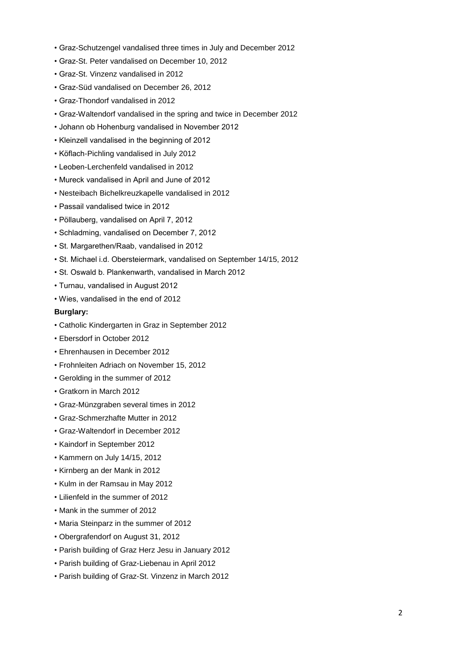- Graz-Schutzengel vandalised three times in July and December 2012
- Graz-St. Peter vandalised on December 10, 2012
- Graz-St. Vinzenz vandalised in 2012
- Graz-Süd vandalised on December 26, 2012
- Graz-Thondorf vandalised in 2012
- Graz-Waltendorf vandalised in the spring and twice in December 2012
- Johann ob Hohenburg vandalised in November 2012
- Kleinzell vandalised in the beginning of 2012
- Köflach-Pichling vandalised in July 2012
- Leoben-Lerchenfeld vandalised in 2012
- Mureck vandalised in April and June of 2012
- Nesteibach Bichelkreuzkapelle vandalised in 2012
- Passail vandalised twice in 2012
- Pöllauberg, vandalised on April 7, 2012
- Schladming, vandalised on December 7, 2012
- St. Margarethen/Raab, vandalised in 2012
- St. Michael i.d. Obersteiermark, vandalised on September 14/15, 2012
- St. Oswald b. Plankenwarth, vandalised in March 2012
- Turnau, vandalised in August 2012
- Wies, vandalised in the end of 2012

#### **Burglary:**

- Catholic Kindergarten in Graz in September 2012
- Ebersdorf in October 2012
- Ehrenhausen in December 2012
- Frohnleiten Adriach on November 15, 2012
- Gerolding in the summer of 2012
- Gratkorn in March 2012
- Graz-Münzgraben several times in 2012
- Graz-Schmerzhafte Mutter in 2012
- Graz-Waltendorf in December 2012
- Kaindorf in September 2012
- Kammern on July 14/15, 2012
- Kirnberg an der Mank in 2012
- Kulm in der Ramsau in May 2012
- Lilienfeld in the summer of 2012
- Mank in the summer of 2012
- Maria Steinparz in the summer of 2012
- Obergrafendorf on August 31, 2012
- Parish building of Graz Herz Jesu in January 2012
- Parish building of Graz-Liebenau in April 2012
- Parish building of Graz-St. Vinzenz in March 2012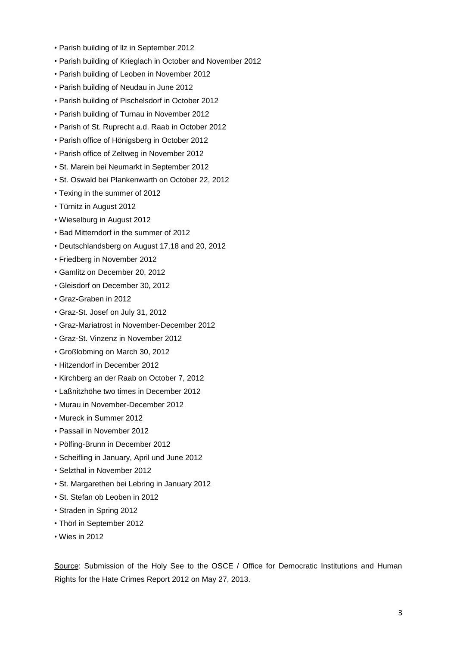- Parish building of llz in September 2012
- Parish building of Krieglach in October and November 2012
- Parish building of Leoben in November 2012
- Parish building of Neudau in June 2012
- Parish building of Pischelsdorf in October 2012
- Parish building of Turnau in November 2012
- Parish of St. Ruprecht a.d. Raab in October 2012
- Parish office of Hönigsberg in October 2012
- Parish office of Zeltweg in November 2012
- St. Marein bei Neumarkt in September 2012
- St. Oswald bei Plankenwarth on October 22, 2012
- Texing in the summer of 2012
- Türnitz in August 2012
- Wieselburg in August 2012
- Bad Mitterndorf in the summer of 2012
- Deutschlandsberg on August 17,18 and 20, 2012
- Friedberg in November 2012
- Gamlitz on December 20, 2012
- Gleisdorf on December 30, 2012
- Graz-Graben in 2012
- Graz-St. Josef on July 31, 2012
- Graz-Mariatrost in November-December 2012
- Graz-St. Vinzenz in November 2012
- Großlobming on March 30, 2012
- Hitzendorf in December 2012
- Kirchberg an der Raab on October 7, 2012
- Laßnitzhöhe two times in December 2012
- Murau in November-December 2012
- Mureck in Summer 2012
- Passail in November 2012
- Pölfing-Brunn in December 2012
- Scheifling in January, April und June 2012
- Selzthal in November 2012
- St. Margarethen bei Lebring in January 2012
- St. Stefan ob Leoben in 2012
- Straden in Spring 2012
- Thörl in September 2012
- Wies in 2012

Source: Submission of the Holy See to the OSCE / Office for Democratic Institutions and Human Rights for the Hate Crimes Report 2012 on May 27, 2013.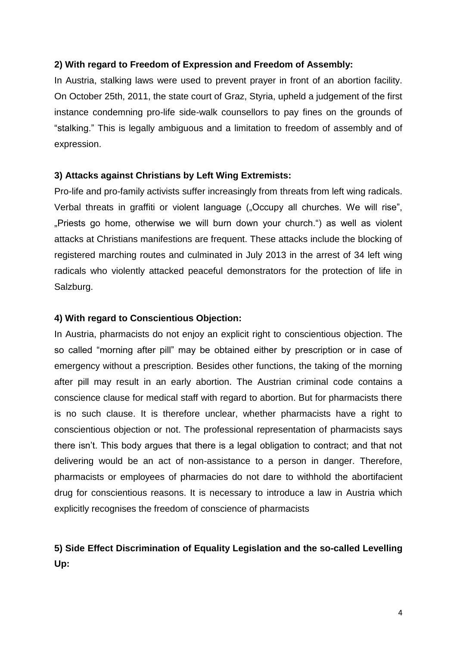## **2) With regard to Freedom of Expression and Freedom of Assembly:**

In Austria, stalking laws were used to prevent prayer in front of an abortion facility. On October 25th, 2011, the state court of Graz, Styria, upheld a judgement of the first instance condemning pro-life side-walk counsellors to pay fines on the grounds of "stalking." This is legally ambiguous and a limitation to freedom of assembly and of expression.

## **3) Attacks against Christians by Left Wing Extremists:**

Pro-life and pro-family activists suffer increasingly from threats from left wing radicals. Verbal threats in graffiti or violent language ("Occupy all churches. We will rise", "Priests go home, otherwise we will burn down your church.") as well as violent attacks at Christians manifestions are frequent. These attacks include the blocking of registered marching routes and culminated in July 2013 in the arrest of 34 left wing radicals who violently attacked peaceful demonstrators for the protection of life in Salzburg.

## **4) With regard to Conscientious Objection:**

In Austria, pharmacists do not enjoy an explicit right to conscientious objection. The so called "morning after pill" may be obtained either by prescription or in case of emergency without a prescription. Besides other functions, the taking of the morning after pill may result in an early abortion. The Austrian criminal code contains a conscience clause for medical staff with regard to abortion. But for pharmacists there is no such clause. It is therefore unclear, whether pharmacists have a right to conscientious objection or not. The professional representation of pharmacists says there isn't. This body argues that there is a legal obligation to contract; and that not delivering would be an act of non-assistance to a person in danger. Therefore, pharmacists or employees of pharmacies do not dare to withhold the abortifacient drug for conscientious reasons. It is necessary to introduce a law in Austria which explicitly recognises the freedom of conscience of pharmacists

## **5) Side Effect Discrimination of Equality Legislation and the so-called Levelling Up:**